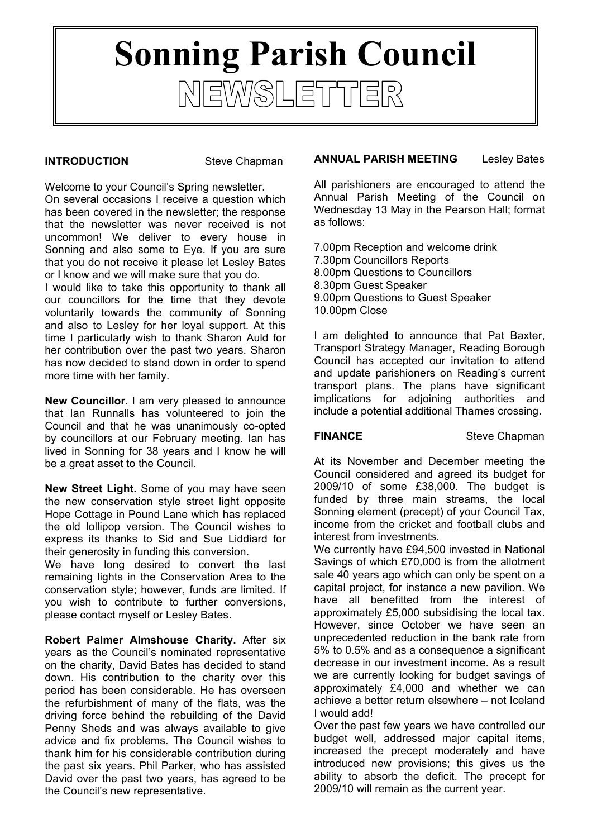# **Sonning Parish Council**NEWSLETTER

## **INTRODUCTION** Steve Chapman

Welcome to your Council's Spring newsletter. On several occasions I receive a question which has been covered in the newsletter; the response that the newsletter was never received is not uncommon! We deliver to every house in Sonning and also some to Eye. If you are sure that you do not receive it please let Lesley Bates or I know and we will make sure that you do.

I would like to take this opportunity to thank all our councillors for the time that they devote voluntarily towards the community of Sonning and also to Lesley for her loyal support. At this time I particularly wish to thank Sharon Auld for her contribution over the past two years. Sharon has now decided to stand down in order to spend more time with her family.

**New Councillor**. I am very pleased to announce that Ian Runnalls has volunteered to join the Council and that he was unanimously co-opted by councillors at our February meeting. Ian has lived in Sonning for 38 years and I know he will be a great asset to the Council.

**New Street Light.** Some of you may have seen the new conservation style street light opposite Hope Cottage in Pound Lane which has replaced the old lollipop version. The Council wishes to express its thanks to Sid and Sue Liddiard for their generosity in funding this conversion.

We have long desired to convert the last remaining lights in the Conservation Area to the conservation style; however, funds are limited. If you wish to contribute to further conversions, please contact myself or Lesley Bates.

**Robert Palmer Almshouse Charity.** After six years as the Council's nominated representative on the charity, David Bates has decided to stand down. His contribution to the charity over this period has been considerable. He has overseen the refurbishment of many of the flats, was the driving force behind the rebuilding of the David Penny Sheds and was always available to give advice and fix problems. The Council wishes to thank him for his considerable contribution during the past six years. Phil Parker, who has assisted David over the past two years, has agreed to be the Council's new representative.

# **ANNUAL PARISH MEETING** Lesley Bates

All parishioners are encouraged to attend the Annual Parish Meeting of the Council on Wednesday 13 May in the Pearson Hall; format as follows:

7.00pm Reception and welcome drink 7.30pm Councillors Reports 8.00pm Questions to Councillors 8.30pm Guest Speaker 9.00pm Questions to Guest Speaker 10.00pm Close

I am delighted to announce that Pat Baxter, Transport Strategy Manager, Reading Borough Council has accepted our invitation to attend and update parishioners on Reading's current transport plans. The plans have significant implications for adjoining authorities and include a potential additional Thames crossing.

**FINANCE** Steve Chapman

At its November and December meeting the Council considered and agreed its budget for 2009/10 of some £38,000. The budget is funded by three main streams, the local Sonning element (precept) of your Council Tax, income from the cricket and football clubs and interest from investments.

We currently have £94,500 invested in National Savings of which £70,000 is from the allotment sale 40 years ago which can only be spent on a capital project, for instance a new pavilion. We have all benefitted from the interest of approximately £5,000 subsidising the local tax. However, since October we have seen an unprecedented reduction in the bank rate from 5% to 0.5% and as a consequence a significant decrease in our investment income. As a result we are currently looking for budget savings of approximately £4,000 and whether we can achieve a better return elsewhere – not Iceland I would add!

Over the past few years we have controlled our budget well, addressed major capital items, increased the precept moderately and have introduced new provisions; this gives us the ability to absorb the deficit. The precept for 2009/10 will remain as the current year.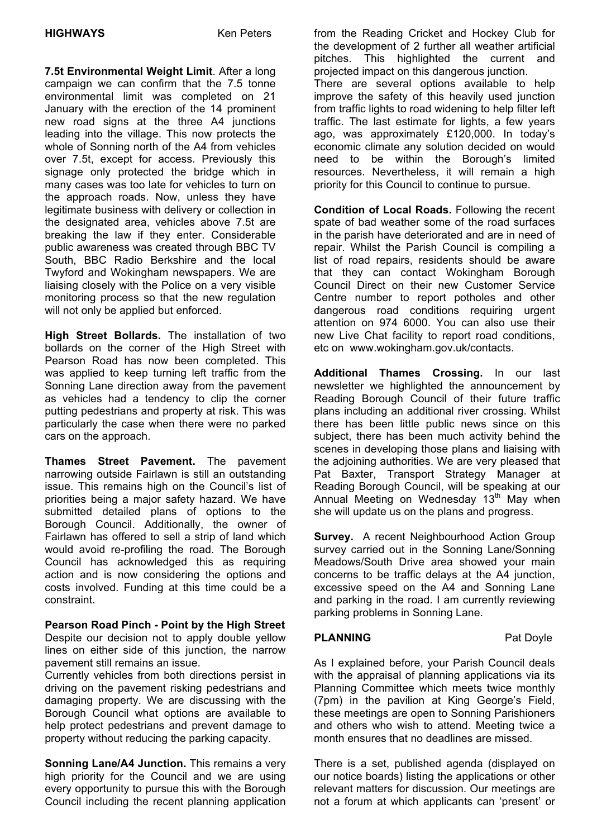**7.5t Environmental Weight Limit**. After a long campaign we can confirm that the 7.5 tonne environmental limit was completed on 21 January with the erection of the 14 prominent new road signs at the three A4 junctions leading into the village. This now protects the whole of Sonning north of the A4 from vehicles over 7.5t, except for access. Previously this signage only protected the bridge which in many cases was too late for vehicles to turn on the approach roads. Now, unless they have legitimate business with delivery or collection in the designated area, vehicles above 7.5t are breaking the law if they enter. Considerable public awareness was created through BBC TV South, BBC Radio Berkshire and the local Twyford and Wokingham newspapers. We are liaising closely with the Police on a very visible monitoring process so that the new regulation will not only be applied but enforced.

**High Street Bollards.** The installation of two bollards on the corner of the High Street with Pearson Road has now been completed. This was applied to keep turning left traffic from the Sonning Lane direction away from the pavement as vehicles had a tendency to clip the corner putting pedestrians and property at risk. This was particularly the case when there were no parked cars on the approach.

**Thames Street Pavement.** The pavement narrowing outside Fairlawn is still an outstanding issue. This remains high on the Council's list of priorities being a major safety hazard. We have submitted detailed plans of options to the Borough Council. Additionally, the owner of Fairlawn has offered to sell a strip of land which would avoid re-profiling the road. The Borough Council has acknowledged this as requiring action and is now considering the options and costs involved. Funding at this time could be a constraint.

**Pearson Road Pinch - Point by the High Street** Despite our decision not to apply double yellow lines on either side of this junction, the narrow pavement still remains an issue.

Currently vehicles from both directions persist in driving on the pavement risking pedestrians and damaging property. We are discussing with the Borough Council what options are available to help protect pedestrians and prevent damage to property without reducing the parking capacity.

**Sonning Lane/A4 Junction.** This remains a very high priority for the Council and we are using every opportunity to pursue this with the Borough Council including the recent planning application

 the development of 2 further all weather artificial from the Reading Cricket and Hockey Club for pitches. This highlighted the current and projected impact on this dangerous junction.

There are several options available to help improve the safety of this heavily used junction from traffic lights to road widening to help filter left traffic. The last estimate for lights, a few years ago, was approximately £120,000. In today's economic climate any solution decided on would need to be within the Borough's limited resources. Nevertheless, it will remain a high priority for this Council to continue to pursue.

**Condition of Local Roads.** Following the recent spate of bad weather some of the road surfaces in the parish have deteriorated and are in need of repair. Whilst the Parish Council is compiling a list of road repairs, residents should be aware that they can contact Wokingham Borough Council Direct on their new Customer Service Centre number to report potholes and other dangerous road conditions requiring urgent attention on 974 6000. You can also use their new Live Chat facility to report road conditions, etc on www.wokingham.gov.uk/contacts.

**Additional Thames Crossing.** In our last newsletter we highlighted the announcement by Reading Borough Council of their future traffic plans including an additional river crossing. Whilst there has been little public news since on this subject, there has been much activity behind the scenes in developing those plans and liaising with the adjoining authorities. We are very pleased that Pat Baxter, Transport Strategy Manager at Reading Borough Council, will be speaking at our Annual Meeting on Wednesday 13<sup>th</sup> May when she will update us on the plans and progress.

**Survey.** A recent Neighbourhood Action Group survey carried out in the Sonning Lane/Sonning Meadows/South Drive area showed your main concerns to be traffic delays at the A4 junction, excessive speed on the A4 and Sonning Lane and parking in the road. I am currently reviewing parking problems in Sonning Lane.

# **PLANNING** Pat Doyle

As I explained before, your Parish Council deals with the appraisal of planning applications via its Planning Committee which meets twice monthly (7pm) in the pavilion at King George's Field, these meetings are open to Sonning Parishioners and others who wish to attend. Meeting twice a month ensures that no deadlines are missed.

There is a set, published agenda (displayed on our notice boards) listing the applications or other relevant matters for discussion. Our meetings are not a forum at which applicants can 'present' or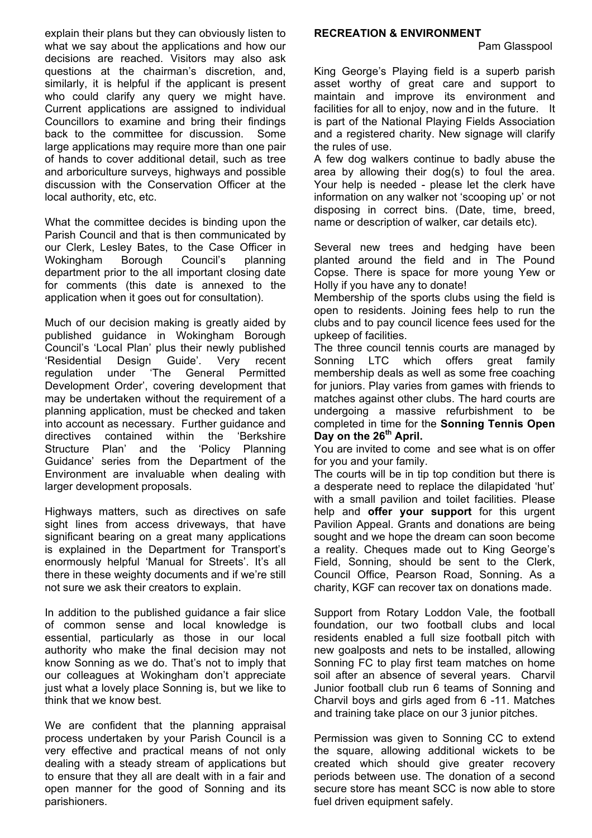explain their plans but they can obviously listen to what we say about the applications and how our decisions are reached. Visitors may also ask questions at the chairman's discretion, and, similarly, it is helpful if the applicant is present who could clarify any query we might have. Current applications are assigned to individual Councillors to examine and bring their findings back to the committee for discussion. Some large applications may require more than one pair of hands to cover additional detail, such as tree and arboriculture surveys, highways and possible discussion with the Conservation Officer at the local authority, etc, etc.

What the committee decides is binding upon the Parish Council and that is then communicated by our Clerk, Lesley Bates, to the Case Officer in Wokingham Borough Council's planning department prior to the all important closing date for comments (this date is annexed to the application when it goes out for consultation).

Much of our decision making is greatly aided by published guidance in Wokingham Borough Council's 'Local Plan' plus their newly published 'Residential Design Guide'. Very recent regulation under 'The General Permitted Development Order', covering development that may be undertaken without the requirement of a planning application, must be checked and taken into account as necessary. Further guidance and directives contained within the 'Berkshire Structure Plan' and the 'Policy Planning Guidance' series from the Department of the Environment are invaluable when dealing with larger development proposals.

Highways matters, such as directives on safe sight lines from access driveways, that have significant bearing on a great many applications is explained in the Department for Transport's enormously helpful 'Manual for Streets'. It's all there in these weighty documents and if we're still not sure we ask their creators to explain.

In addition to the published guidance a fair slice of common sense and local knowledge is essential, particularly as those in our local authority who make the final decision may not know Sonning as we do. That's not to imply that our colleagues at Wokingham don't appreciate just what a lovely place Sonning is, but we like to think that we know best.

We are confident that the planning appraisal process undertaken by your Parish Council is a very effective and practical means of not only dealing with a steady stream of applications but to ensure that they all are dealt with in a fair and open manner for the good of Sonning and its parishioners.

#### **RECREATION & ENVIRONMENT**

Pam Glasspool

King George's Playing field is a superb parish asset worthy of great care and support to maintain and improve its environment and facilities for all to enjoy, now and in the future. It is part of the National Playing Fields Association and a registered charity. New signage will clarify the rules of use.

A few dog walkers continue to badly abuse the area by allowing their dog(s) to foul the area. Your help is needed - please let the clerk have information on any walker not 'scooping up' or not disposing in correct bins. (Date, time, breed, name or description of walker, car details etc).

Several new trees and hedging have been planted around the field and in The Pound Copse. There is space for more young Yew or Holly if you have any to donate!

Membership of the sports clubs using the field is open to residents. Joining fees help to run the clubs and to pay council licence fees used for the upkeep of facilities.

The three council tennis courts are managed by Sonning LTC which offers great family membership deals as well as some free coaching for juniors. Play varies from games with friends to matches against other clubs. The hard courts are undergoing a massive refurbishment to be completed in time for the **Sonning Tennis Open Day on the 26th April.**

You are invited to come and see what is on offer for you and your family.

The courts will be in tip top condition but there is a desperate need to replace the dilapidated 'hut' with a small pavilion and toilet facilities. Please help and **offer your support** for this urgent Pavilion Appeal. Grants and donations are being sought and we hope the dream can soon become a reality. Cheques made out to King George's Field, Sonning, should be sent to the Clerk, Council Office, Pearson Road, Sonning. As a charity, KGF can recover tax on donations made.

Support from Rotary Loddon Vale, the football foundation, our two football clubs and local residents enabled a full size football pitch with new goalposts and nets to be installed, allowing Sonning FC to play first team matches on home soil after an absence of several years. Charvil Junior football club run 6 teams of Sonning and Charvil boys and girls aged from 6 -11. Matches and training take place on our 3 junior pitches.

Permission was given to Sonning CC to extend the square, allowing additional wickets to be created which should give greater recovery periods between use. The donation of a second secure store has meant SCC is now able to store fuel driven equipment safely.